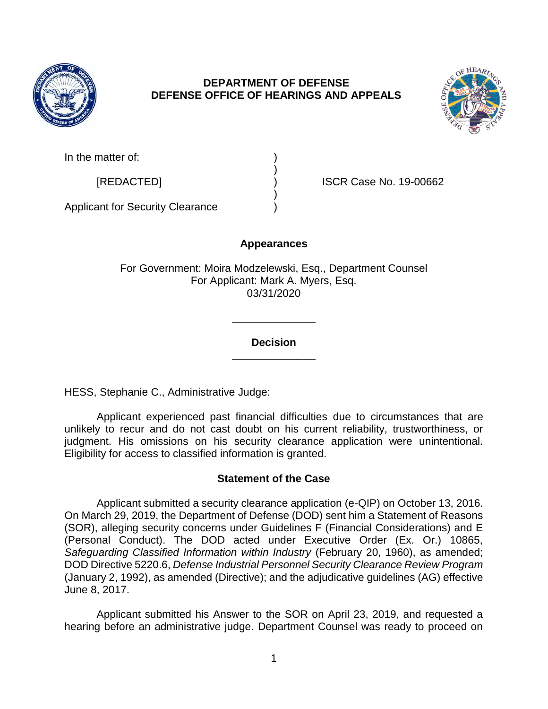

# **DEPARTMENT OF DEFENSE DEFENSE OFFICE OF HEARINGS AND APPEALS**



In the matter of:

[REDACTED] ) ISCR Case No. 19-00662

Applicant for Security Clearance )

# **Appearances**

)

)

For Government: Moira Modzelewski, Esq., Department Counsel For Applicant: Mark A. Myers, Esq. 03/31/2020

## **Decision \_\_\_\_\_\_\_\_\_\_\_\_\_\_**

**\_\_\_\_\_\_\_\_\_\_\_\_\_\_**

HESS, Stephanie C., Administrative Judge:

Applicant experienced past financial difficulties due to circumstances that are unlikely to recur and do not cast doubt on his current reliability, trustworthiness, or judgment. His omissions on his security clearance application were unintentional. Eligibility for access to classified information is granted.

# **Statement of the Case**

Applicant submitted a security clearance application (e-QIP) on October 13, 2016. On March 29, 2019, the Department of Defense (DOD) sent him a Statement of Reasons (SOR), alleging security concerns under Guidelines F (Financial Considerations) and E (Personal Conduct). The DOD acted under Executive Order (Ex. Or.) 10865, *Safeguarding Classified Information within Industry* (February 20, 1960), as amended; DOD Directive 5220.6, *Defense Industrial Personnel Security Clearance Review Program* (January 2, 1992), as amended (Directive); and the adjudicative guidelines (AG) effective June 8, 2017.

Applicant submitted his Answer to the SOR on April 23, 2019, and requested a hearing before an administrative judge. Department Counsel was ready to proceed on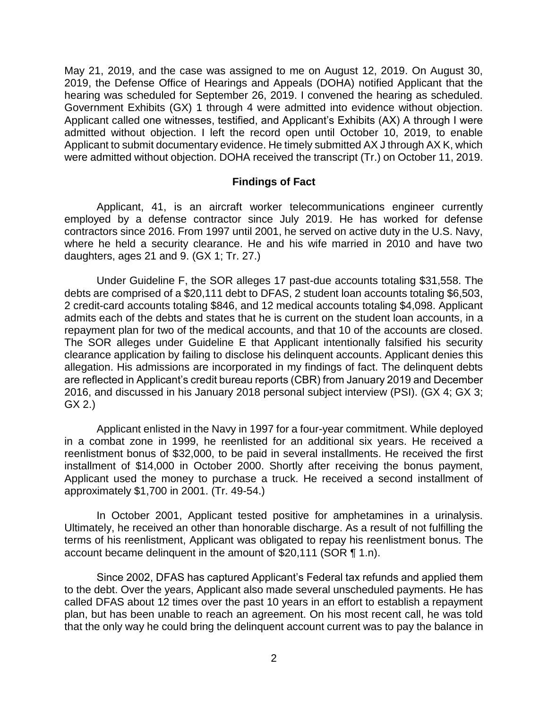May 21, 2019, and the case was assigned to me on August 12, 2019. On August 30, 2019, the Defense Office of Hearings and Appeals (DOHA) notified Applicant that the hearing was scheduled for September 26, 2019. I convened the hearing as scheduled. Government Exhibits (GX) 1 through 4 were admitted into evidence without objection. Applicant called one witnesses, testified, and Applicant's Exhibits (AX) A through I were admitted without objection. I left the record open until October 10, 2019, to enable Applicant to submit documentary evidence. He timely submitted AX J through AX K, which were admitted without objection. DOHA received the transcript (Tr.) on October 11, 2019.

### **Findings of Fact**

Applicant, 41, is an aircraft worker telecommunications engineer currently employed by a defense contractor since July 2019. He has worked for defense contractors since 2016. From 1997 until 2001, he served on active duty in the U.S. Navy, where he held a security clearance. He and his wife married in 2010 and have two daughters, ages 21 and 9. (GX 1; Tr. 27.)

Under Guideline F, the SOR alleges 17 past-due accounts totaling \$31,558. The debts are comprised of a \$20,111 debt to DFAS, 2 student loan accounts totaling \$6,503, 2 credit-card accounts totaling \$846, and 12 medical accounts totaling \$4,098. Applicant admits each of the debts and states that he is current on the student loan accounts, in a repayment plan for two of the medical accounts, and that 10 of the accounts are closed. The SOR alleges under Guideline E that Applicant intentionally falsified his security clearance application by failing to disclose his delinquent accounts. Applicant denies this allegation. His admissions are incorporated in my findings of fact. The delinquent debts are reflected in Applicant's credit bureau reports (CBR) from January 2019 and December 2016, and discussed in his January 2018 personal subject interview (PSI). (GX 4; GX 3; GX 2.)

Applicant enlisted in the Navy in 1997 for a four-year commitment. While deployed in a combat zone in 1999, he reenlisted for an additional six years. He received a reenlistment bonus of \$32,000, to be paid in several installments. He received the first installment of \$14,000 in October 2000. Shortly after receiving the bonus payment, Applicant used the money to purchase a truck. He received a second installment of approximately \$1,700 in 2001. (Tr. 49-54.)

In October 2001, Applicant tested positive for amphetamines in a urinalysis. Ultimately, he received an other than honorable discharge. As a result of not fulfilling the terms of his reenlistment, Applicant was obligated to repay his reenlistment bonus. The account became delinquent in the amount of \$20,111 (SOR ¶ 1.n).

Since 2002, DFAS has captured Applicant's Federal tax refunds and applied them to the debt. Over the years, Applicant also made several unscheduled payments. He has called DFAS about 12 times over the past 10 years in an effort to establish a repayment plan, but has been unable to reach an agreement. On his most recent call, he was told that the only way he could bring the delinquent account current was to pay the balance in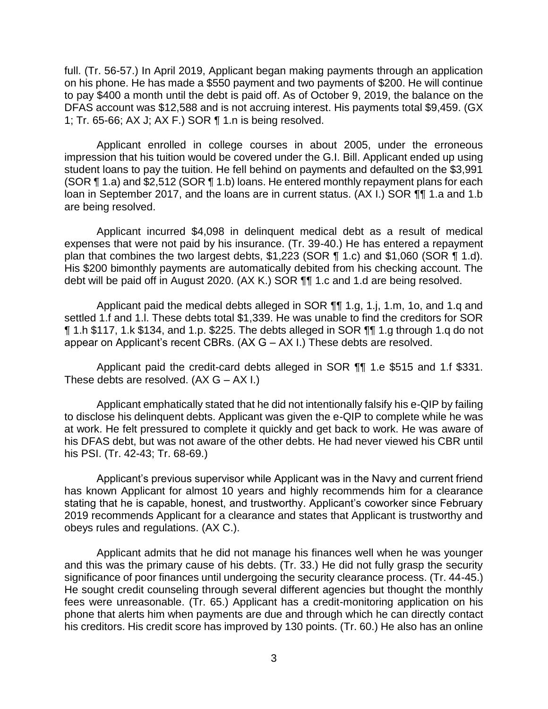full. (Tr. 56-57.) In April 2019, Applicant began making payments through an application on his phone. He has made a \$550 payment and two payments of \$200. He will continue to pay \$400 a month until the debt is paid off. As of October 9, 2019, the balance on the DFAS account was \$12,588 and is not accruing interest. His payments total \$9,459. (GX 1; Tr. 65-66; AX J; AX F.) SOR ¶ 1.n is being resolved.

Applicant enrolled in college courses in about 2005, under the erroneous impression that his tuition would be covered under the G.I. Bill. Applicant ended up using student loans to pay the tuition. He fell behind on payments and defaulted on the \$3,991 (SOR ¶ 1.a) and \$2,512 (SOR ¶ 1.b) loans. He entered monthly repayment plans for each loan in September 2017, and the loans are in current status. (AX I.) SOR  $\P\P$  1.a and 1.b are being resolved.

Applicant incurred \$4,098 in delinquent medical debt as a result of medical expenses that were not paid by his insurance. (Tr. 39-40.) He has entered a repayment plan that combines the two largest debts, \$1,223 (SOR ¶ 1.c) and \$1,060 (SOR ¶ 1.d). His \$200 bimonthly payments are automatically debited from his checking account. The debt will be paid off in August 2020. (AX K.) SOR ¶¶ 1.c and 1.d are being resolved.

Applicant paid the medical debts alleged in SOR ¶¶ 1.g, 1.j, 1.m, 1o, and 1.q and settled 1.f and 1.l. These debts total \$1,339. He was unable to find the creditors for SOR ¶ 1.h \$117, 1.k \$134, and 1.p. \$225. The debts alleged in SOR ¶¶ 1.g through 1.q do not appear on Applicant's recent CBRs. (AX G – AX I.) These debts are resolved.

Applicant paid the credit-card debts alleged in SOR ¶¶ 1.e \$515 and 1.f \$331. These debts are resolved.  $(AX G - AX I.)$ 

Applicant emphatically stated that he did not intentionally falsify his e-QIP by failing to disclose his delinquent debts. Applicant was given the e-QIP to complete while he was at work. He felt pressured to complete it quickly and get back to work. He was aware of his DFAS debt, but was not aware of the other debts. He had never viewed his CBR until his PSI. (Tr. 42-43; Tr. 68-69.)

Applicant's previous supervisor while Applicant was in the Navy and current friend has known Applicant for almost 10 years and highly recommends him for a clearance stating that he is capable, honest, and trustworthy. Applicant's coworker since February 2019 recommends Applicant for a clearance and states that Applicant is trustworthy and obeys rules and regulations. (AX C.).

Applicant admits that he did not manage his finances well when he was younger and this was the primary cause of his debts. (Tr. 33.) He did not fully grasp the security significance of poor finances until undergoing the security clearance process. (Tr. 44-45.) He sought credit counseling through several different agencies but thought the monthly fees were unreasonable. (Tr. 65.) Applicant has a credit-monitoring application on his phone that alerts him when payments are due and through which he can directly contact his creditors. His credit score has improved by 130 points. (Tr. 60.) He also has an online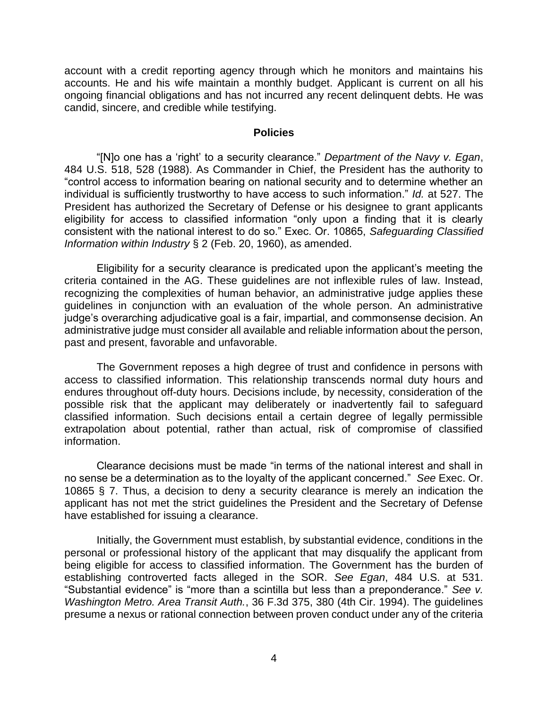account with a credit reporting agency through which he monitors and maintains his accounts. He and his wife maintain a monthly budget. Applicant is current on all his ongoing financial obligations and has not incurred any recent delinquent debts. He was candid, sincere, and credible while testifying.

#### **Policies**

"[N]o one has a 'right' to a security clearance." *Department of the Navy v. Egan*, 484 U.S. 518, 528 (1988). As Commander in Chief, the President has the authority to "control access to information bearing on national security and to determine whether an individual is sufficiently trustworthy to have access to such information." *Id.* at 527. The President has authorized the Secretary of Defense or his designee to grant applicants eligibility for access to classified information "only upon a finding that it is clearly consistent with the national interest to do so." Exec. Or. 10865, *Safeguarding Classified Information within Industry* § 2 (Feb. 20, 1960), as amended.

Eligibility for a security clearance is predicated upon the applicant's meeting the criteria contained in the AG. These guidelines are not inflexible rules of law. Instead, recognizing the complexities of human behavior, an administrative judge applies these guidelines in conjunction with an evaluation of the whole person. An administrative judge's overarching adjudicative goal is a fair, impartial, and commonsense decision. An administrative judge must consider all available and reliable information about the person, past and present, favorable and unfavorable.

 The Government reposes a high degree of trust and confidence in persons with access to classified information. This relationship transcends normal duty hours and endures throughout off-duty hours. Decisions include, by necessity, consideration of the possible risk that the applicant may deliberately or inadvertently fail to safeguard classified information. Such decisions entail a certain degree of legally permissible extrapolation about potential, rather than actual, risk of compromise of classified information.

Clearance decisions must be made "in terms of the national interest and shall in no sense be a determination as to the loyalty of the applicant concerned." *See* Exec. Or. 10865 § 7. Thus, a decision to deny a security clearance is merely an indication the applicant has not met the strict guidelines the President and the Secretary of Defense have established for issuing a clearance.

 Initially, the Government must establish, by substantial evidence, conditions in the personal or professional history of the applicant that may disqualify the applicant from being eligible for access to classified information. The Government has the burden of establishing controverted facts alleged in the SOR. *See Egan*, 484 U.S. at 531. "Substantial evidence" is "more than a scintilla but less than a preponderance." *See v. Washington Metro. Area Transit Auth.*, 36 F.3d 375, 380 (4th Cir. 1994). The guidelines presume a nexus or rational connection between proven conduct under any of the criteria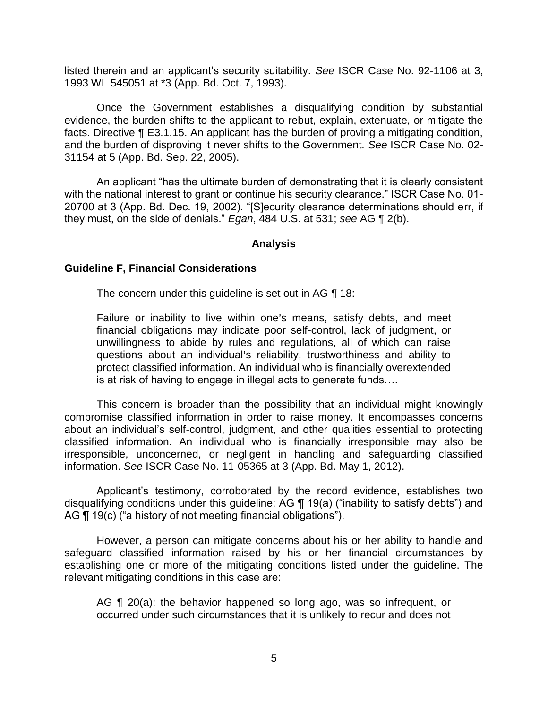listed therein and an applicant's security suitability. *See* ISCR Case No. 92-1106 at 3, 1993 WL 545051 at \*3 (App. Bd. Oct. 7, 1993).

Once the Government establishes a disqualifying condition by substantial evidence, the burden shifts to the applicant to rebut, explain, extenuate, or mitigate the facts. Directive ¶ E3.1.15. An applicant has the burden of proving a mitigating condition, and the burden of disproving it never shifts to the Government. *See* ISCR Case No. 02- 31154 at 5 (App. Bd. Sep. 22, 2005).

An applicant "has the ultimate burden of demonstrating that it is clearly consistent with the national interest to grant or continue his security clearance." ISCR Case No. 01- 20700 at 3 (App. Bd. Dec. 19, 2002). "[S]ecurity clearance determinations should err, if they must, on the side of denials." *Egan*, 484 U.S. at 531; *see* AG ¶ 2(b).

### **Analysis**

#### **Guideline F, Financial Considerations**

The concern under this guideline is set out in AG ¶ 18:

Failure or inability to live within one's means, satisfy debts, and meet financial obligations may indicate poor self-control, lack of judgment, or unwillingness to abide by rules and regulations, all of which can raise questions about an individual's reliability, trustworthiness and ability to protect classified information. An individual who is financially overextended is at risk of having to engage in illegal acts to generate funds….

 This concern is broader than the possibility that an individual might knowingly compromise classified information in order to raise money. It encompasses concerns about an individual's self-control, judgment, and other qualities essential to protecting classified information. An individual who is financially irresponsible may also be irresponsible, unconcerned, or negligent in handling and safeguarding classified information. *See* ISCR Case No. 11-05365 at 3 (App. Bd. May 1, 2012).

Applicant's testimony, corroborated by the record evidence, establishes two disqualifying conditions under this guideline: AG ¶ 19(a) ("inability to satisfy debts") and AG ¶ 19(c) ("a history of not meeting financial obligations").

 However, a person can mitigate concerns about his or her ability to handle and safeguard classified information raised by his or her financial circumstances by establishing one or more of the mitigating conditions listed under the guideline. The relevant mitigating conditions in this case are:

AG ¶ 20(a): the behavior happened so long ago, was so infrequent, or occurred under such circumstances that it is unlikely to recur and does not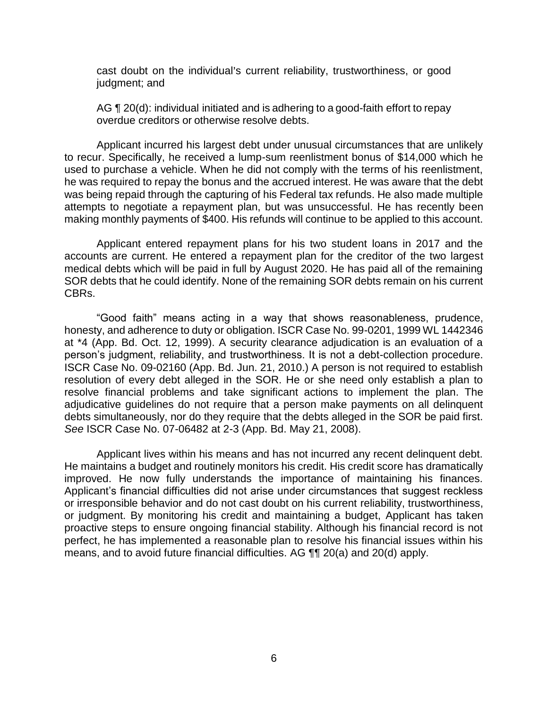cast doubt on the individual's current reliability, trustworthiness, or good judgment; and

AG  $\P$  20(d): individual initiated and is adhering to a good-faith effort to repay overdue creditors or otherwise resolve debts.

 Applicant incurred his largest debt under unusual circumstances that are unlikely to recur. Specifically, he received a lump-sum reenlistment bonus of \$14,000 which he used to purchase a vehicle. When he did not comply with the terms of his reenlistment, he was required to repay the bonus and the accrued interest. He was aware that the debt was being repaid through the capturing of his Federal tax refunds. He also made multiple attempts to negotiate a repayment plan, but was unsuccessful. He has recently been making monthly payments of \$400. His refunds will continue to be applied to this account.

 Applicant entered repayment plans for his two student loans in 2017 and the accounts are current. He entered a repayment plan for the creditor of the two largest medical debts which will be paid in full by August 2020. He has paid all of the remaining SOR debts that he could identify. None of the remaining SOR debts remain on his current CBRs.

"Good faith" means acting in a way that shows reasonableness, prudence, honesty, and adherence to duty or obligation. ISCR Case No. 99-0201, 1999 WL 1442346 at \*4 (App. Bd. Oct. 12, 1999). A security clearance adjudication is an evaluation of a person's judgment, reliability, and trustworthiness. It is not a debt-collection procedure. ISCR Case No. 09-02160 (App. Bd. Jun. 21, 2010.) A person is not required to establish resolution of every debt alleged in the SOR. He or she need only establish a plan to resolve financial problems and take significant actions to implement the plan. The adjudicative guidelines do not require that a person make payments on all delinquent debts simultaneously, nor do they require that the debts alleged in the SOR be paid first. *See* ISCR Case No. 07-06482 at 2-3 (App. Bd. May 21, 2008).

 Applicant lives within his means and has not incurred any recent delinquent debt. He maintains a budget and routinely monitors his credit. His credit score has dramatically improved. He now fully understands the importance of maintaining his finances. Applicant's financial difficulties did not arise under circumstances that suggest reckless or irresponsible behavior and do not cast doubt on his current reliability, trustworthiness, or judgment. By monitoring his credit and maintaining a budget, Applicant has taken proactive steps to ensure ongoing financial stability. Although his financial record is not perfect, he has implemented a reasonable plan to resolve his financial issues within his means, and to avoid future financial difficulties. AG ¶¶ 20(a) and 20(d) apply.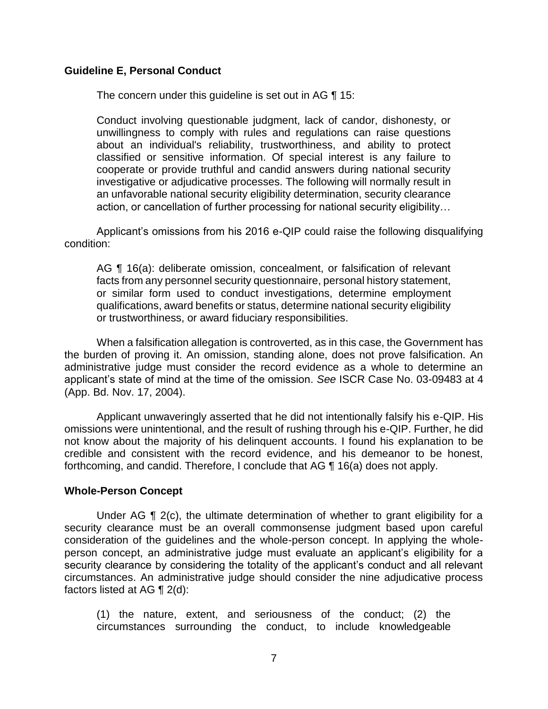### **Guideline E, Personal Conduct**

The concern under this guideline is set out in AG ¶ 15:

Conduct involving questionable judgment, lack of candor, dishonesty, or unwillingness to comply with rules and regulations can raise questions about an individual's reliability, trustworthiness, and ability to protect classified or sensitive information. Of special interest is any failure to cooperate or provide truthful and candid answers during national security investigative or adjudicative processes. The following will normally result in an unfavorable national security eligibility determination, security clearance action, or cancellation of further processing for national security eligibility…

Applicant's omissions from his 2016 e-QIP could raise the following disqualifying condition:

AG ¶ 16(a): deliberate omission, concealment, or falsification of relevant facts from any personnel security questionnaire, personal history statement, or similar form used to conduct investigations, determine employment qualifications, award benefits or status, determine national security eligibility or trustworthiness, or award fiduciary responsibilities.

When a falsification allegation is controverted, as in this case, the Government has the burden of proving it. An omission, standing alone, does not prove falsification. An administrative judge must consider the record evidence as a whole to determine an applicant's state of mind at the time of the omission. *See* ISCR Case No. 03-09483 at 4 (App. Bd. Nov. 17, 2004).

 Applicant unwaveringly asserted that he did not intentionally falsify his e-QIP. His omissions were unintentional, and the result of rushing through his e-QIP. Further, he did not know about the majority of his delinquent accounts. I found his explanation to be credible and consistent with the record evidence, and his demeanor to be honest, forthcoming, and candid. Therefore, I conclude that AG ¶ 16(a) does not apply.

#### **Whole-Person Concept**

 Under AG ¶ 2(c), the ultimate determination of whether to grant eligibility for a security clearance must be an overall commonsense judgment based upon careful consideration of the guidelines and the whole-person concept. In applying the wholeperson concept, an administrative judge must evaluate an applicant's eligibility for a security clearance by considering the totality of the applicant's conduct and all relevant circumstances. An administrative judge should consider the nine adjudicative process factors listed at AG ¶ 2(d):

(1) the nature, extent, and seriousness of the conduct; (2) the circumstances surrounding the conduct, to include knowledgeable